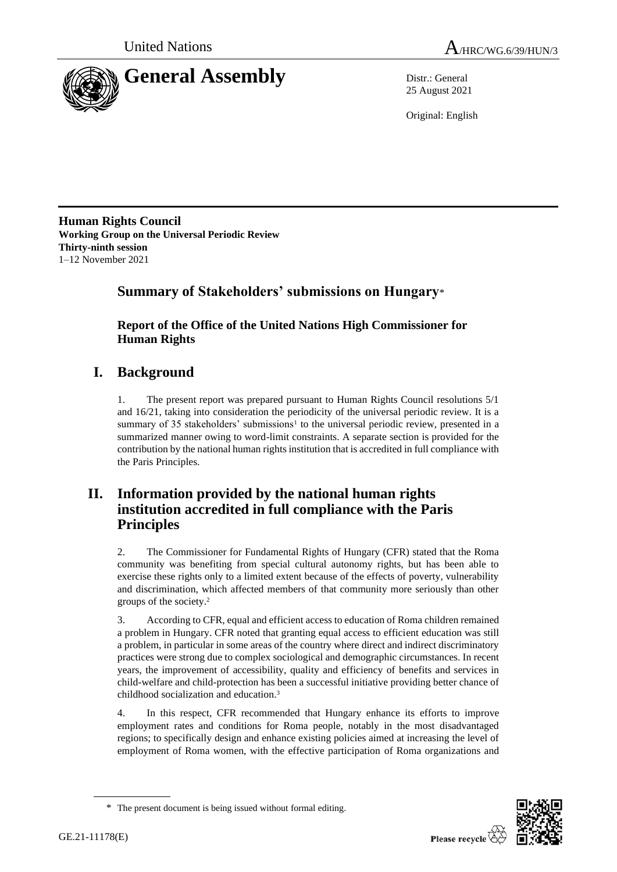

25 August 2021

Original: English

**Human Rights Council Working Group on the Universal Periodic Review Thirty-ninth session** 1–12 November 2021

# **Summary of Stakeholders' submissions on Hungary**\*

**Report of the Office of the United Nations High Commissioner for Human Rights**

# **I. Background**

1. The present report was prepared pursuant to Human Rights Council resolutions 5/1 and 16/21, taking into consideration the periodicity of the universal periodic review. It is a summary of 35 stakeholders' submissions<sup>1</sup> to the universal periodic review, presented in a summarized manner owing to word-limit constraints. A separate section is provided for the contribution by the national human rights institution that is accredited in full compliance with the Paris Principles.

# **II. Information provided by the national human rights institution accredited in full compliance with the Paris Principles**

2. The Commissioner for Fundamental Rights of Hungary (CFR) stated that the Roma community was benefiting from special cultural autonomy rights, but has been able to exercise these rights only to a limited extent because of the effects of poverty, vulnerability and discrimination, which affected members of that community more seriously than other groups of the society.<sup>2</sup>

3. According to CFR, equal and efficient access to education of Roma children remained a problem in Hungary. CFR noted that granting equal access to efficient education was still a problem, in particular in some areas of the country where direct and indirect discriminatory practices were strong due to complex sociological and demographic circumstances. In recent years, the improvement of accessibility, quality and efficiency of benefits and services in child-welfare and child-protection has been a successful initiative providing better chance of childhood socialization and education.<sup>3</sup>

4. In this respect, CFR recommended that Hungary enhance its efforts to improve employment rates and conditions for Roma people, notably in the most disadvantaged regions; to specifically design and enhance existing policies aimed at increasing the level of employment of Roma women, with the effective participation of Roma organizations and



<sup>\*</sup> The present document is being issued without formal editing.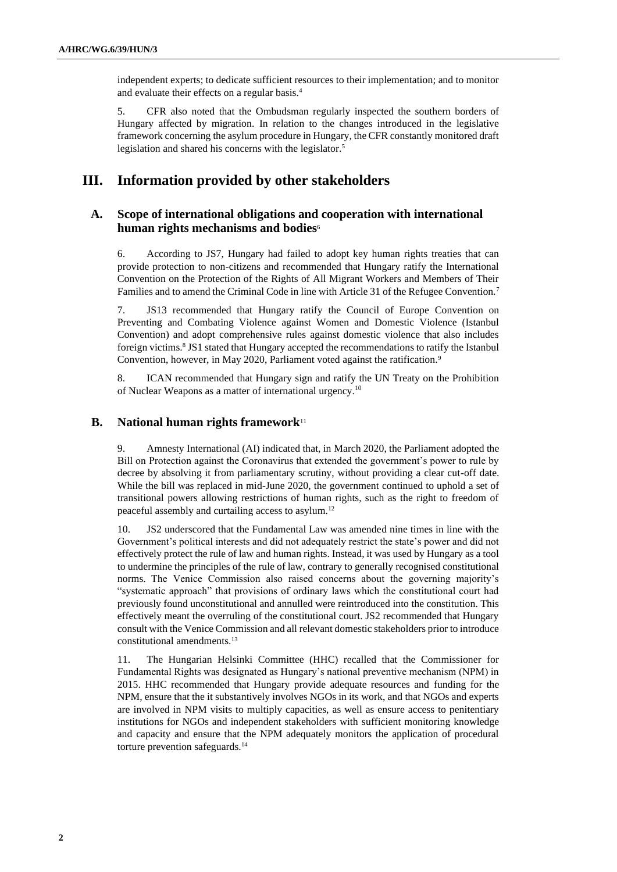independent experts; to dedicate sufficient resources to their implementation; and to monitor and evaluate their effects on a regular basis.<sup>4</sup>

5. CFR also noted that the Ombudsman regularly inspected the southern borders of Hungary affected by migration. In relation to the changes introduced in the legislative framework concerning the asylum procedure in Hungary, the CFR constantly monitored draft legislation and shared his concerns with the legislator.<sup>5</sup>

# **III. Information provided by other stakeholders**

## **A. Scope of international obligations and cooperation with international human rights mechanisms and bodies**<sup>6</sup>

6. According to JS7, Hungary had failed to adopt key human rights treaties that can provide protection to non-citizens and recommended that Hungary ratify the International Convention on the Protection of the Rights of All Migrant Workers and Members of Their Families and to amend the Criminal Code in line with Article 31 of the Refugee Convention.<sup>7</sup>

7. JS13 recommended that Hungary ratify the Council of Europe Convention on Preventing and Combating Violence against Women and Domestic Violence (Istanbul Convention) and adopt comprehensive rules against domestic violence that also includes foreign victims.<sup>8</sup> JS1 stated that Hungary accepted the recommendations to ratify the Istanbul Convention, however, in May 2020, Parliament voted against the ratification.<sup>9</sup>

8. ICAN recommended that Hungary sign and ratify the UN Treaty on the Prohibition of Nuclear Weapons as a matter of international urgency.<sup>10</sup>

### **B. National human rights framework**<sup>11</sup>

9. Amnesty International (AI) indicated that, in March 2020, the Parliament adopted the Bill on Protection against the Coronavirus that extended the government's power to rule by decree by absolving it from parliamentary scrutiny, without providing a clear cut-off date. While the bill was replaced in mid-June 2020, the government continued to uphold a set of transitional powers allowing restrictions of human rights, such as the right to freedom of peaceful assembly and curtailing access to asylum.<sup>12</sup>

10. JS2 underscored that the Fundamental Law was amended nine times in line with the Government's political interests and did not adequately restrict the state's power and did not effectively protect the rule of law and human rights. Instead, it was used by Hungary as a tool to undermine the principles of the rule of law, contrary to generally recognised constitutional norms. The Venice Commission also raised concerns about the governing majority's "systematic approach" that provisions of ordinary laws which the constitutional court had previously found unconstitutional and annulled were reintroduced into the constitution. This effectively meant the overruling of the constitutional court. JS2 recommended that Hungary consult with the Venice Commission and all relevant domestic stakeholders prior to introduce constitutional amendments.<sup>13</sup>

11. The Hungarian Helsinki Committee (HHC) recalled that the Commissioner for Fundamental Rights was designated as Hungary's national preventive mechanism (NPM) in 2015. HHC recommended that Hungary provide adequate resources and funding for the NPM, ensure that the it substantively involves NGOs in its work, and that NGOs and experts are involved in NPM visits to multiply capacities, as well as ensure access to penitentiary institutions for NGOs and independent stakeholders with sufficient monitoring knowledge and capacity and ensure that the NPM adequately monitors the application of procedural torture prevention safeguards.14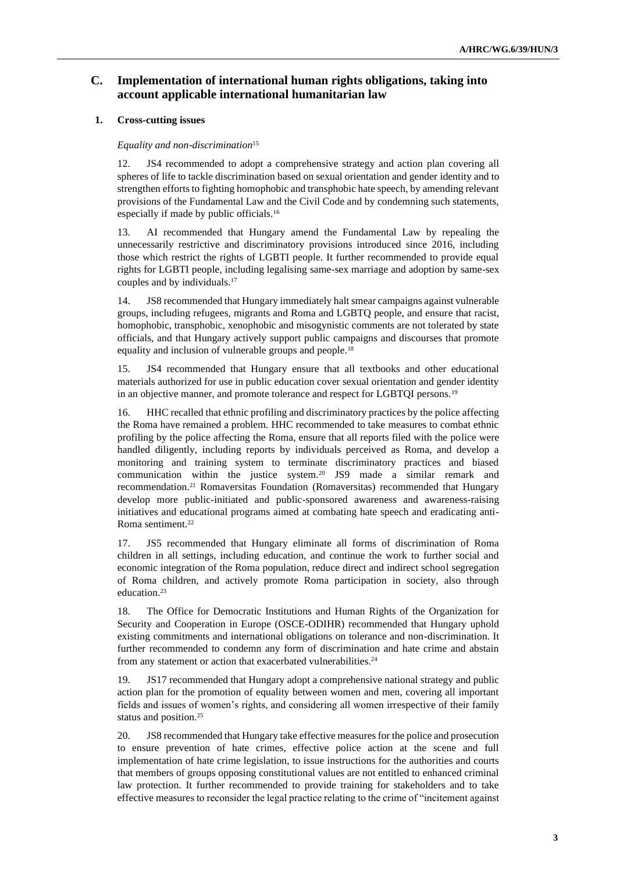# **C. Implementation of international human rights obligations, taking into account applicable international humanitarian law**

### **1. Cross-cutting issues**

#### *Equality and non-discrimination*<sup>15</sup>

12. JS4 recommended to adopt a comprehensive strategy and action plan covering all spheres of life to tackle discrimination based on sexual orientation and gender identity and to strengthen efforts to fighting homophobic and transphobic hate speech, by amending relevant provisions of the Fundamental Law and the Civil Code and by condemning such statements, especially if made by public officials.<sup>16</sup>

13. AI recommended that Hungary amend the Fundamental Law by repealing the unnecessarily restrictive and discriminatory provisions introduced since 2016, including those which restrict the rights of LGBTI people. It further recommended to provide equal rights for LGBTI people, including legalising same-sex marriage and adoption by same-sex couples and by individuals.<sup>17</sup>

14. JS8 recommended that Hungary immediately halt smear campaigns against vulnerable groups, including refugees, migrants and Roma and LGBTQ people, and ensure that racist, homophobic, transphobic, xenophobic and misogynistic comments are not tolerated by state officials, and that Hungary actively support public campaigns and discourses that promote equality and inclusion of vulnerable groups and people.<sup>18</sup>

15. JS4 recommended that Hungary ensure that all textbooks and other educational materials authorized for use in public education cover sexual orientation and gender identity in an objective manner, and promote tolerance and respect for LGBTQI persons.<sup>19</sup>

16. HHC recalled that ethnic profiling and discriminatory practices by the police affecting the Roma have remained a problem. HHC recommended to take measures to combat ethnic profiling by the police affecting the Roma, ensure that all reports filed with the police were handled diligently, including reports by individuals perceived as Roma, and develop a monitoring and training system to terminate discriminatory practices and biased communication within the justice system.<sup>20</sup> JS9 made a similar remark and recommendation.<sup>21</sup> Romaversitas Foundation (Romaversitas) recommended that Hungary develop more public-initiated and public-sponsored awareness and awareness-raising initiatives and educational programs aimed at combating hate speech and eradicating anti-Roma sentiment.<sup>22</sup>

17. JS5 recommended that Hungary eliminate all forms of discrimination of Roma children in all settings, including education, and continue the work to further social and economic integration of the Roma population, reduce direct and indirect school segregation of Roma children, and actively promote Roma participation in society, also through education.<sup>23</sup>

18. The Office for Democratic Institutions and Human Rights of the Organization for Security and Cooperation in Europe (OSCE-ODIHR) recommended that Hungary uphold existing commitments and international obligations on tolerance and non-discrimination. It further recommended to condemn any form of discrimination and hate crime and abstain from any statement or action that exacerbated vulnerabilities.<sup>24</sup>

19. JS17 recommended that Hungary adopt a comprehensive national strategy and public action plan for the promotion of equality between women and men, covering all important fields and issues of women's rights, and considering all women irrespective of their family status and position.<sup>25</sup>

20. JS8 recommended that Hungary take effective measures for the police and prosecution to ensure prevention of hate crimes, effective police action at the scene and full implementation of hate crime legislation, to issue instructions for the authorities and courts that members of groups opposing constitutional values are not entitled to enhanced criminal law protection. It further recommended to provide training for stakeholders and to take effective measures to reconsider the legal practice relating to the crime of "incitement against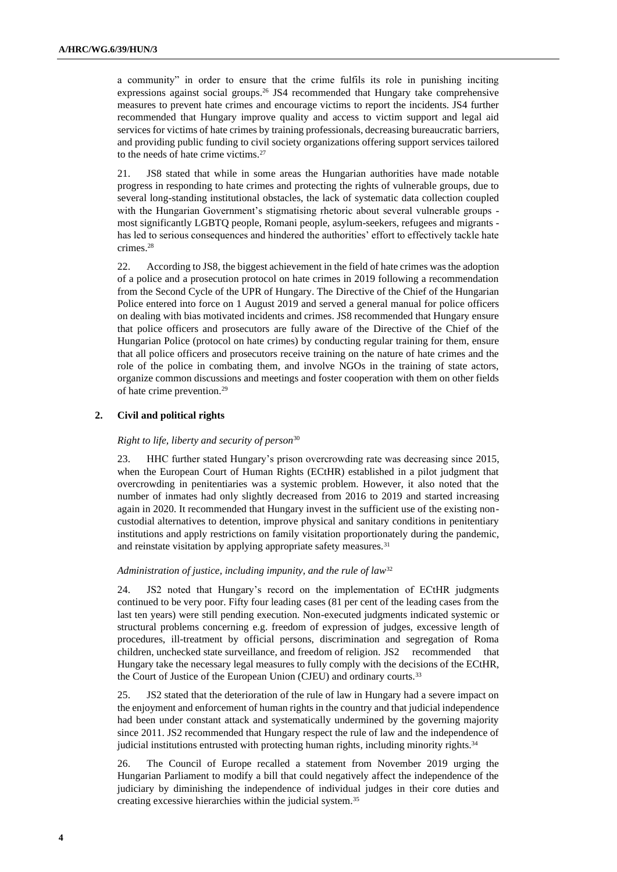a community" in order to ensure that the crime fulfils its role in punishing inciting expressions against social groups.<sup>26</sup> JS4 recommended that Hungary take comprehensive measures to prevent hate crimes and encourage victims to report the incidents. JS4 further recommended that Hungary improve quality and access to victim support and legal aid services for victims of hate crimes by training professionals, decreasing bureaucratic barriers, and providing public funding to civil society organizations offering support services tailored to the needs of hate crime victims.<sup>27</sup>

21. JS8 stated that while in some areas the Hungarian authorities have made notable progress in responding to hate crimes and protecting the rights of vulnerable groups, due to several long-standing institutional obstacles, the lack of systematic data collection coupled with the Hungarian Government's stigmatising rhetoric about several vulnerable groups most significantly LGBTQ people, Romani people, asylum-seekers, refugees and migrants has led to serious consequences and hindered the authorities' effort to effectively tackle hate crimes.<sup>28</sup>

22. According to JS8, the biggest achievement in the field of hate crimes was the adoption of a police and a prosecution protocol on hate crimes in 2019 following a recommendation from the Second Cycle of the UPR of Hungary. The Directive of the Chief of the Hungarian Police entered into force on 1 August 2019 and served a general manual for police officers on dealing with bias motivated incidents and crimes. JS8 recommended that Hungary ensure that police officers and prosecutors are fully aware of the Directive of the Chief of the Hungarian Police (protocol on hate crimes) by conducting regular training for them, ensure that all police officers and prosecutors receive training on the nature of hate crimes and the role of the police in combating them, and involve NGOs in the training of state actors, organize common discussions and meetings and foster cooperation with them on other fields of hate crime prevention.<sup>29</sup>

### **2. Civil and political rights**

#### *Right to life, liberty and security of person*<sup>30</sup>

23. HHC further stated Hungary's prison overcrowding rate was decreasing since 2015, when the European Court of Human Rights (ECtHR) established in a pilot judgment that overcrowding in penitentiaries was a systemic problem. However, it also noted that the number of inmates had only slightly decreased from 2016 to 2019 and started increasing again in 2020. It recommended that Hungary invest in the sufficient use of the existing noncustodial alternatives to detention, improve physical and sanitary conditions in penitentiary institutions and apply restrictions on family visitation proportionately during the pandemic, and reinstate visitation by applying appropriate safety measures.<sup>31</sup>

#### *Administration of justice, including impunity, and the rule of law*<sup>32</sup>

24. JS2 noted that Hungary's record on the implementation of ECtHR judgments continued to be very poor. Fifty four leading cases (81 per cent of the leading cases from the last ten years) were still pending execution. Non-executed judgments indicated systemic or structural problems concerning e.g. freedom of expression of judges, excessive length of procedures, ill-treatment by official persons, discrimination and segregation of Roma children, unchecked state surveillance, and freedom of religion. JS2 recommended that Hungary take the necessary legal measures to fully comply with the decisions of the ECtHR, the Court of Justice of the European Union (CJEU) and ordinary courts.<sup>33</sup>

25. JS2 stated that the deterioration of the rule of law in Hungary had a severe impact on the enjoyment and enforcement of human rights in the country and that judicial independence had been under constant attack and systematically undermined by the governing majority since 2011. JS2 recommended that Hungary respect the rule of law and the independence of judicial institutions entrusted with protecting human rights, including minority rights.<sup>34</sup>

26. The Council of Europe recalled a statement from November 2019 urging the Hungarian Parliament to modify a bill that could negatively affect the independence of the judiciary by diminishing the independence of individual judges in their core duties and creating excessive hierarchies within the judicial system.35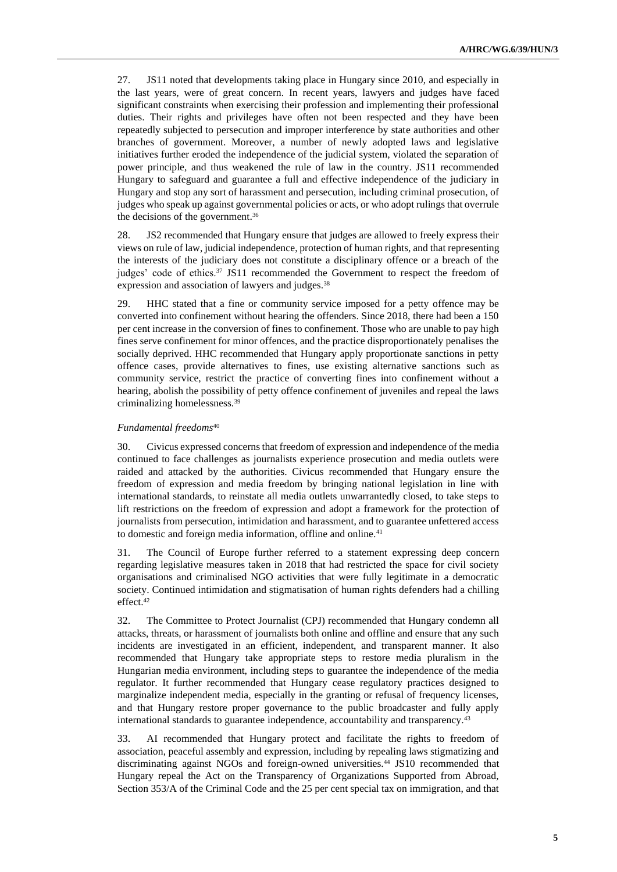27. JS11 noted that developments taking place in Hungary since 2010, and especially in the last years, were of great concern. In recent years, lawyers and judges have faced significant constraints when exercising their profession and implementing their professional duties. Their rights and privileges have often not been respected and they have been repeatedly subjected to persecution and improper interference by state authorities and other branches of government. Moreover, a number of newly adopted laws and legislative initiatives further eroded the independence of the judicial system, violated the separation of power principle, and thus weakened the rule of law in the country. JS11 recommended Hungary to safeguard and guarantee a full and effective independence of the judiciary in Hungary and stop any sort of harassment and persecution, including criminal prosecution, of judges who speak up against governmental policies or acts, or who adopt rulings that overrule the decisions of the government. 36

28. JS2 recommended that Hungary ensure that judges are allowed to freely express their views on rule of law, judicial independence, protection of human rights, and that representing the interests of the judiciary does not constitute a disciplinary offence or a breach of the judges' code of ethics. $37$  JS11 recommended the Government to respect the freedom of expression and association of lawyers and judges.<sup>38</sup>

29. HHC stated that a fine or community service imposed for a petty offence may be converted into confinement without hearing the offenders. Since 2018, there had been a 150 per cent increase in the conversion of fines to confinement. Those who are unable to pay high fines serve confinement for minor offences, and the practice disproportionately penalises the socially deprived. HHC recommended that Hungary apply proportionate sanctions in petty offence cases, provide alternatives to fines, use existing alternative sanctions such as community service, restrict the practice of converting fines into confinement without a hearing, abolish the possibility of petty offence confinement of juveniles and repeal the laws criminalizing homelessness.<sup>39</sup>

#### *Fundamental freedoms*<sup>40</sup>

30. Civicus expressed concerns that freedom of expression and independence of the media continued to face challenges as journalists experience prosecution and media outlets were raided and attacked by the authorities. Civicus recommended that Hungary ensure the freedom of expression and media freedom by bringing national legislation in line with international standards, to reinstate all media outlets unwarrantedly closed, to take steps to lift restrictions on the freedom of expression and adopt a framework for the protection of journalists from persecution, intimidation and harassment, and to guarantee unfettered access to domestic and foreign media information, offline and online.<sup>41</sup>

31. The Council of Europe further referred to a statement expressing deep concern regarding legislative measures taken in 2018 that had restricted the space for civil society organisations and criminalised NGO activities that were fully legitimate in a democratic society. Continued intimidation and stigmatisation of human rights defenders had a chilling effect.<sup>42</sup>

32. The Committee to Protect Journalist (CPJ) recommended that Hungary condemn all attacks, threats, or harassment of journalists both online and offline and ensure that any such incidents are investigated in an efficient, independent, and transparent manner. It also recommended that Hungary take appropriate steps to restore media pluralism in the Hungarian media environment, including steps to guarantee the independence of the media regulator. It further recommended that Hungary cease regulatory practices designed to marginalize independent media, especially in the granting or refusal of frequency licenses, and that Hungary restore proper governance to the public broadcaster and fully apply international standards to guarantee independence, accountability and transparency.<sup>43</sup>

33. AI recommended that Hungary protect and facilitate the rights to freedom of association, peaceful assembly and expression, including by repealing laws stigmatizing and discriminating against NGOs and foreign-owned universities.<sup>44</sup> JS10 recommended that Hungary repeal the Act on the Transparency of Organizations Supported from Abroad, Section 353/A of the Criminal Code and the 25 per cent special tax on immigration, and that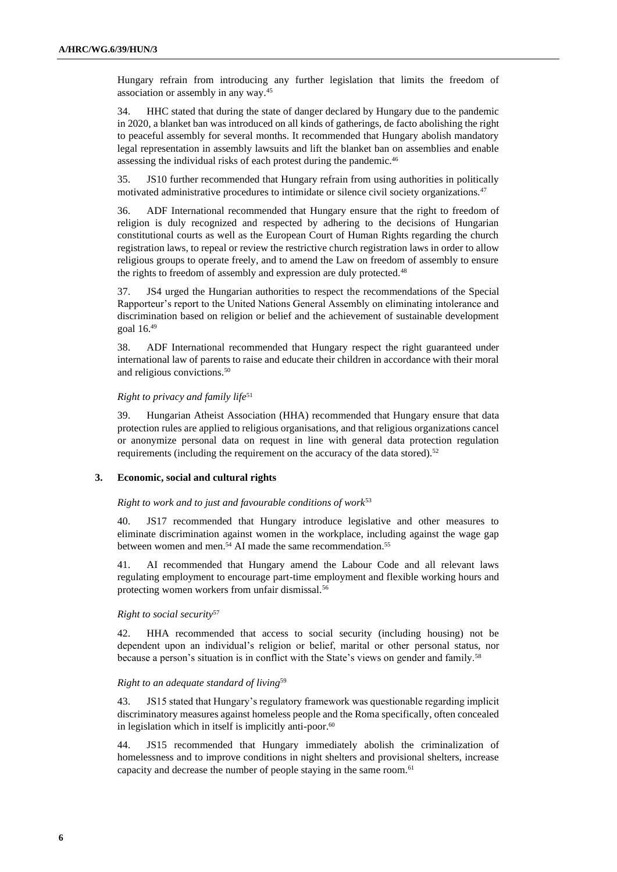Hungary refrain from introducing any further legislation that limits the freedom of association or assembly in any way.<sup>45</sup>

34. HHC stated that during the state of danger declared by Hungary due to the pandemic in 2020, a blanket ban was introduced on all kinds of gatherings, de facto abolishing the right to peaceful assembly for several months. It recommended that Hungary abolish mandatory legal representation in assembly lawsuits and lift the blanket ban on assemblies and enable assessing the individual risks of each protest during the pandemic.<sup>46</sup>

35. JS10 further recommended that Hungary refrain from using authorities in politically motivated administrative procedures to intimidate or silence civil society organizations.<sup>47</sup>

36. ADF International recommended that Hungary ensure that the right to freedom of religion is duly recognized and respected by adhering to the decisions of Hungarian constitutional courts as well as the European Court of Human Rights regarding the church registration laws, to repeal or review the restrictive church registration laws in order to allow religious groups to operate freely, and to amend the Law on freedom of assembly to ensure the rights to freedom of assembly and expression are duly protected.<sup>48</sup>

37. JS4 urged the Hungarian authorities to respect the recommendations of the Special Rapporteur's report to the United Nations General Assembly on eliminating intolerance and discrimination based on religion or belief and the achievement of sustainable development goal 16.<sup>49</sup>

38. ADF International recommended that Hungary respect the right guaranteed under international law of parents to raise and educate their children in accordance with their moral and religious convictions.<sup>50</sup>

#### *Right to privacy and family life*<sup>51</sup>

39. Hungarian Atheist Association (HHA) recommended that Hungary ensure that data protection rules are applied to religious organisations, and that religious organizations cancel or anonymize personal data on request in line with general data protection regulation requirements (including the requirement on the accuracy of the data stored).<sup>52</sup>

#### **3. Economic, social and cultural rights**

#### *Right to work and to just and favourable conditions of work*<sup>53</sup>

40. JS17 recommended that Hungary introduce legislative and other measures to eliminate discrimination against women in the workplace, including against the wage gap between women and men.<sup>54</sup> AI made the same recommendation.<sup>55</sup>

41. AI recommended that Hungary amend the Labour Code and all relevant laws regulating employment to encourage part-time employment and flexible working hours and protecting women workers from unfair dismissal.<sup>56</sup>

#### *Right to social security*<sup>57</sup>

42. HHA recommended that access to social security (including housing) not be dependent upon an individual's religion or belief, marital or other personal status, nor because a person's situation is in conflict with the State's views on gender and family.<sup>58</sup>

#### *Right to an adequate standard of living*<sup>59</sup>

43. JS15 stated that Hungary's regulatory framework was questionable regarding implicit discriminatory measures against homeless people and the Roma specifically, often concealed in legislation which in itself is implicitly anti-poor. $60$ 

44. JS15 recommended that Hungary immediately abolish the criminalization of homelessness and to improve conditions in night shelters and provisional shelters, increase capacity and decrease the number of people staying in the same room.<sup>61</sup>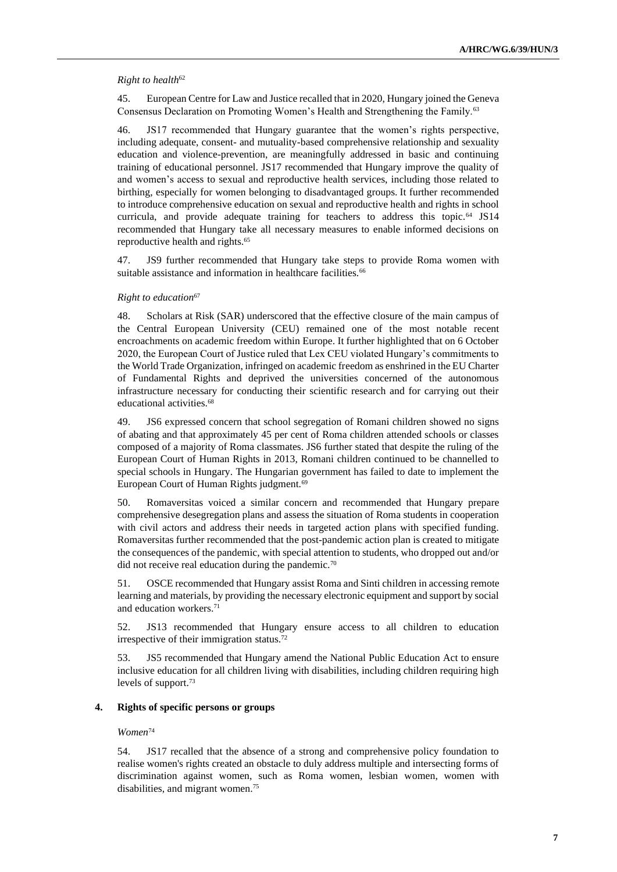#### *Right to health*<sup>62</sup>

45. European Centre for Law and Justice recalled that in 2020, Hungary joined the Geneva Consensus Declaration on Promoting Women's Health and Strengthening the Family.<sup>63</sup>

46. JS17 recommended that Hungary guarantee that the women's rights perspective, including adequate, consent- and mutuality-based comprehensive relationship and sexuality education and violence-prevention, are meaningfully addressed in basic and continuing training of educational personnel. JS17 recommended that Hungary improve the quality of and women's access to sexual and reproductive health services, including those related to birthing, especially for women belonging to disadvantaged groups. It further recommended to introduce comprehensive education on sexual and reproductive health and rights in school curricula, and provide adequate training for teachers to address this topic.<sup>64</sup> JS14 recommended that Hungary take all necessary measures to enable informed decisions on reproductive health and rights.<sup>65</sup>

47. JS9 further recommended that Hungary take steps to provide Roma women with suitable assistance and information in healthcare facilities.<sup>66</sup>

#### *Right to education*<sup>67</sup>

48. Scholars at Risk (SAR) underscored that the effective closure of the main campus of the Central European University (CEU) remained one of the most notable recent encroachments on academic freedom within Europe. It further highlighted that on 6 October 2020, the European Court of Justice ruled that Lex CEU violated Hungary's commitments to the World Trade Organization, infringed on academic freedom as enshrined in the EU Charter of Fundamental Rights and deprived the universities concerned of the autonomous infrastructure necessary for conducting their scientific research and for carrying out their educational activities.<sup>68</sup>

49. JS6 expressed concern that school segregation of Romani children showed no signs of abating and that approximately 45 per cent of Roma children attended schools or classes composed of a majority of Roma classmates. JS6 further stated that despite the ruling of the European Court of Human Rights in 2013, Romani children continued to be channelled to special schools in Hungary. The Hungarian government has failed to date to implement the European Court of Human Rights judgment.<sup>69</sup>

50. Romaversitas voiced a similar concern and recommended that Hungary prepare comprehensive desegregation plans and assess the situation of Roma students in cooperation with civil actors and address their needs in targeted action plans with specified funding. Romaversitas further recommended that the post-pandemic action plan is created to mitigate the consequences of the pandemic, with special attention to students, who dropped out and/or did not receive real education during the pandemic.<sup>70</sup>

51. OSCE recommended that Hungary assist Roma and Sinti children in accessing remote learning and materials, by providing the necessary electronic equipment and support by social and education workers.<sup>71</sup>

52. JS13 recommended that Hungary ensure access to all children to education irrespective of their immigration status.<sup>72</sup>

53. JS5 recommended that Hungary amend the National Public Education Act to ensure inclusive education for all children living with disabilities, including children requiring high levels of support.<sup>73</sup>

#### **4. Rights of specific persons or groups**

#### *Women*<sup>74</sup>

54. JS17 recalled that the absence of a strong and comprehensive policy foundation to realise women's rights created an obstacle to duly address multiple and intersecting forms of discrimination against women, such as Roma women, lesbian women, women with disabilities, and migrant women.75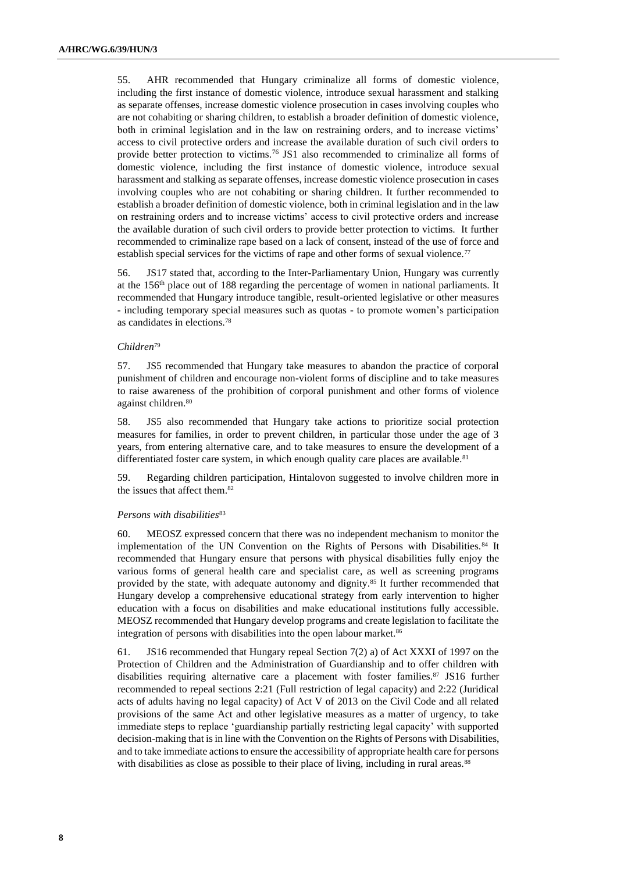55. AHR recommended that Hungary criminalize all forms of domestic violence, including the first instance of domestic violence, introduce sexual harassment and stalking as separate offenses, increase domestic violence prosecution in cases involving couples who are not cohabiting or sharing children, to establish a broader definition of domestic violence, both in criminal legislation and in the law on restraining orders, and to increase victims' access to civil protective orders and increase the available duration of such civil orders to provide better protection to victims.<sup>76</sup> JS1 also recommended to criminalize all forms of domestic violence, including the first instance of domestic violence, introduce sexual harassment and stalking as separate offenses, increase domestic violence prosecution in cases involving couples who are not cohabiting or sharing children. It further recommended to establish a broader definition of domestic violence, both in criminal legislation and in the law on restraining orders and to increase victims' access to civil protective orders and increase the available duration of such civil orders to provide better protection to victims. It further recommended to criminalize rape based on a lack of consent, instead of the use of force and establish special services for the victims of rape and other forms of sexual violence.<sup>77</sup>

56. JS17 stated that, according to the Inter-Parliamentary Union, Hungary was currently at the 156th place out of 188 regarding the percentage of women in national parliaments. It recommended that Hungary introduce tangible, result-oriented legislative or other measures - including temporary special measures such as quotas - to promote women's participation as candidates in elections.<sup>78</sup>

#### *Children*<sup>79</sup>

57. JS5 recommended that Hungary take measures to abandon the practice of corporal punishment of children and encourage non-violent forms of discipline and to take measures to raise awareness of the prohibition of corporal punishment and other forms of violence against children.<sup>80</sup>

58. JS5 also recommended that Hungary take actions to prioritize social protection measures for families, in order to prevent children, in particular those under the age of 3 years, from entering alternative care, and to take measures to ensure the development of a differentiated foster care system, in which enough quality care places are available.<sup>81</sup>

59. Regarding children participation, Hintalovon suggested to involve children more in the issues that affect them.<sup>82</sup>

#### *Persons with disabilities*<sup>83</sup>

60. MEOSZ expressed concern that there was no independent mechanism to monitor the implementation of the UN Convention on the Rights of Persons with Disabilities.<sup>84</sup> It recommended that Hungary ensure that persons with physical disabilities fully enjoy the various forms of general health care and specialist care, as well as screening programs provided by the state, with adequate autonomy and dignity.<sup>85</sup> It further recommended that Hungary develop a comprehensive educational strategy from early intervention to higher education with a focus on disabilities and make educational institutions fully accessible. MEOSZ recommended that Hungary develop programs and create legislation to facilitate the integration of persons with disabilities into the open labour market.<sup>86</sup>

61. JS16 recommended that Hungary repeal Section 7(2) a) of Act XXXI of 1997 on the Protection of Children and the Administration of Guardianship and to offer children with disabilities requiring alternative care a placement with foster families.<sup>87</sup> JS16 further recommended to repeal sections 2:21 (Full restriction of legal capacity) and 2:22 (Juridical acts of adults having no legal capacity) of Act V of 2013 on the Civil Code and all related provisions of the same Act and other legislative measures as a matter of urgency, to take immediate steps to replace 'guardianship partially restricting legal capacity' with supported decision-making that is in line with the Convention on the Rights of Persons with Disabilities, and to take immediate actions to ensure the accessibility of appropriate health care for persons with disabilities as close as possible to their place of living, including in rural areas.<sup>88</sup>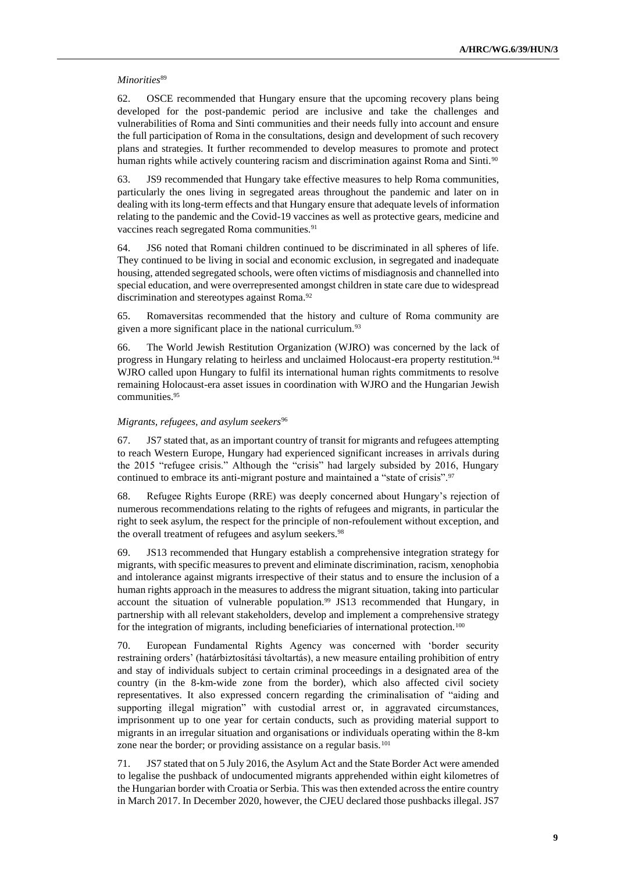#### *Minorities*<sup>89</sup>

62. OSCE recommended that Hungary ensure that the upcoming recovery plans being developed for the post-pandemic period are inclusive and take the challenges and vulnerabilities of Roma and Sinti communities and their needs fully into account and ensure the full participation of Roma in the consultations, design and development of such recovery plans and strategies. It further recommended to develop measures to promote and protect human rights while actively countering racism and discrimination against Roma and Sinti.<sup>90</sup>

63. JS9 recommended that Hungary take effective measures to help Roma communities, particularly the ones living in segregated areas throughout the pandemic and later on in dealing with its long-term effects and that Hungary ensure that adequate levels of information relating to the pandemic and the Covid-19 vaccines as well as protective gears, medicine and vaccines reach segregated Roma communities.<sup>91</sup>

64. JS6 noted that Romani children continued to be discriminated in all spheres of life. They continued to be living in social and economic exclusion, in segregated and inadequate housing, attended segregated schools, were often victims of misdiagnosis and channelled into special education, and were overrepresented amongst children in state care due to widespread discrimination and stereotypes against Roma.<sup>92</sup>

65. Romaversitas recommended that the history and culture of Roma community are given a more significant place in the national curriculum.<sup>93</sup>

66. The World Jewish Restitution Organization (WJRO) was concerned by the lack of progress in Hungary relating to heirless and unclaimed Holocaust-era property restitution.<sup>94</sup> WJRO called upon Hungary to fulfil its international human rights commitments to resolve remaining Holocaust-era asset issues in coordination with WJRO and the Hungarian Jewish communities.<sup>95</sup>

#### *Migrants, refugees, and asylum seekers*<sup>96</sup>

67. JS7 stated that, as an important country of transit for migrants and refugees attempting to reach Western Europe, Hungary had experienced significant increases in arrivals during the 2015 "refugee crisis." Although the "crisis" had largely subsided by 2016, Hungary continued to embrace its anti-migrant posture and maintained a "state of crisis".<sup>97</sup>

68. Refugee Rights Europe (RRE) was deeply concerned about Hungary's rejection of numerous recommendations relating to the rights of refugees and migrants, in particular the right to seek asylum, the respect for the principle of non-refoulement without exception, and the overall treatment of refugees and asylum seekers.<sup>98</sup>

69. JS13 recommended that Hungary establish a comprehensive integration strategy for migrants, with specific measures to prevent and eliminate discrimination, racism, xenophobia and intolerance against migrants irrespective of their status and to ensure the inclusion of a human rights approach in the measures to address the migrant situation, taking into particular account the situation of vulnerable population.<sup>99</sup> JS13 recommended that Hungary, in partnership with all relevant stakeholders, develop and implement a comprehensive strategy for the integration of migrants, including beneficiaries of international protection.<sup>100</sup>

70. European Fundamental Rights Agency was concerned with 'border security restraining orders' (határbiztosítási távoltartás), a new measure entailing prohibition of entry and stay of individuals subject to certain criminal proceedings in a designated area of the country (in the 8-km-wide zone from the border), which also affected civil society representatives. It also expressed concern regarding the criminalisation of "aiding and supporting illegal migration" with custodial arrest or, in aggravated circumstances, imprisonment up to one year for certain conducts, such as providing material support to migrants in an irregular situation and organisations or individuals operating within the 8-km zone near the border; or providing assistance on a regular basis.<sup>101</sup>

71. JS7 stated that on 5 July 2016, the Asylum Act and the State Border Act were amended to legalise the pushback of undocumented migrants apprehended within eight kilometres of the Hungarian border with Croatia or Serbia. This was then extended across the entire country in March 2017. In December 2020, however, the CJEU declared those pushbacks illegal. JS7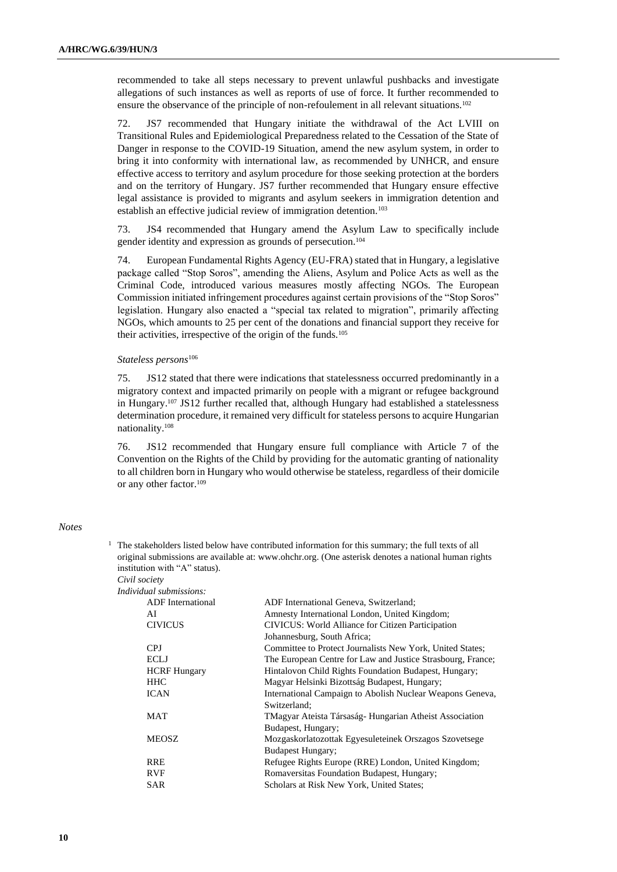recommended to take all steps necessary to prevent unlawful pushbacks and investigate allegations of such instances as well as reports of use of force. It further recommended to ensure the observance of the principle of non-refoulement in all relevant situations.<sup>102</sup>

72. JS7 recommended that Hungary initiate the withdrawal of the Act LVIII on Transitional Rules and Epidemiological Preparedness related to the Cessation of the State of Danger in response to the COVID-19 Situation, amend the new asylum system, in order to bring it into conformity with international law, as recommended by UNHCR, and ensure effective access to territory and asylum procedure for those seeking protection at the borders and on the territory of Hungary. JS7 further recommended that Hungary ensure effective legal assistance is provided to migrants and asylum seekers in immigration detention and establish an effective judicial review of immigration detention.<sup>103</sup>

73. JS4 recommended that Hungary amend the Asylum Law to specifically include gender identity and expression as grounds of persecution.<sup>104</sup>

74. European Fundamental Rights Agency (EU-FRA) stated that in Hungary, a legislative package called "Stop Soros", amending the Aliens, Asylum and Police Acts as well as the Criminal Code, introduced various measures mostly affecting NGOs. The European Commission initiated infringement procedures against certain provisions of the "Stop Soros" legislation. Hungary also enacted a "special tax related to migration", primarily affecting NGOs, which amounts to 25 per cent of the donations and financial support they receive for their activities, irrespective of the origin of the funds.<sup>105</sup>

#### *Stateless persons*<sup>106</sup>

75. JS12 stated that there were indications that statelessness occurred predominantly in a migratory context and impacted primarily on people with a migrant or refugee background in Hungary.<sup>107</sup> JS12 further recalled that, although Hungary had established a statelessness determination procedure, it remained very difficult for stateless persons to acquire Hungarian nationality.<sup>108</sup>

76. JS12 recommended that Hungary ensure full compliance with Article 7 of the Convention on the Rights of the Child by providing for the automatic granting of nationality to all children born in Hungary who would otherwise be stateless, regardless of their domicile or any other factor.<sup>109</sup>

### *Notes*

 $1$  The stakeholders listed below have contributed information for this summary; the full texts of all original submissions are available at: [www.ohchr.org.](http://www.ohchr.org/) (One asterisk denotes a national human rights institution with "A" status).

*Civil society Indivi* 

| idual submissions:       |                                                             |
|--------------------------|-------------------------------------------------------------|
| <b>ADF</b> International | ADF International Geneva, Switzerland;                      |
| AI                       | Amnesty International London, United Kingdom;               |
| <b>CIVICUS</b>           | CIVICUS: World Alliance for Citizen Participation           |
|                          | Johannesburg, South Africa;                                 |
| CPJ                      | Committee to Protect Journalists New York, United States;   |
| ECLJ                     | The European Centre for Law and Justice Strasbourg, France; |
| <b>HCRF</b> Hungary      | Hintalovon Child Rights Foundation Budapest, Hungary;       |
| <b>HHC</b>               | Magyar Helsinki Bizottság Budapest, Hungary;                |
| <b>ICAN</b>              | International Campaign to Abolish Nuclear Weapons Geneva,   |
|                          | Switzerland:                                                |
| MAT                      | TMagyar Ateista Társaság-Hungarian Atheist Association      |
|                          | Budapest, Hungary;                                          |
| <b>MEOSZ</b>             | Mozgaskorlatozottak Egyesuleteinek Orszagos Szovetsege      |
|                          | <b>Budapest Hungary;</b>                                    |
| <b>RRE</b>               | Refugee Rights Europe (RRE) London, United Kingdom;         |
| <b>RVF</b>               | Romaversitas Foundation Budapest, Hungary;                  |
| SAR                      | Scholars at Risk New York, United States;                   |
|                          |                                                             |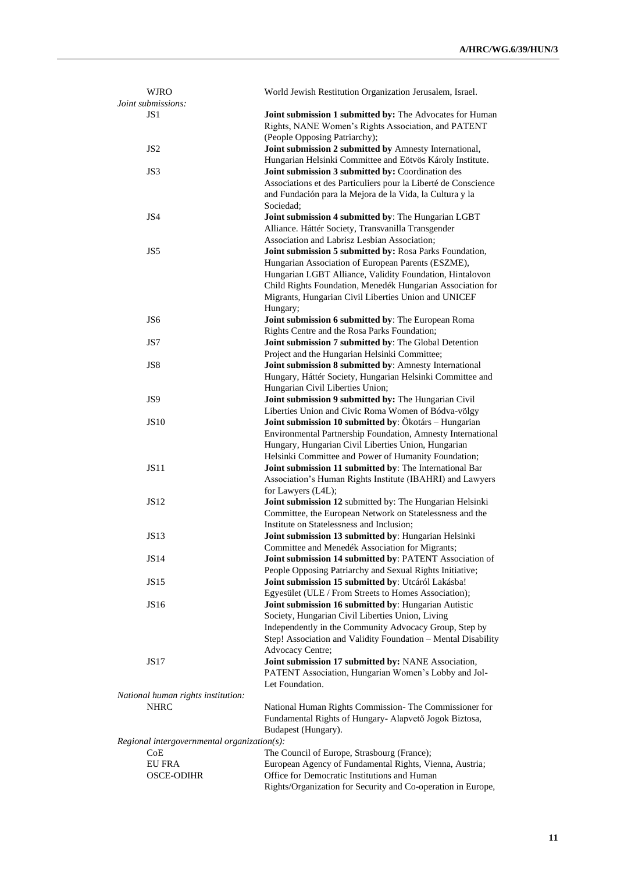| <b>WJRO</b>                                   | World Jewish Restitution Organization Jerusalem, Israel.       |  |
|-----------------------------------------------|----------------------------------------------------------------|--|
| Joint submissions:                            |                                                                |  |
| JS1                                           | Joint submission 1 submitted by: The Advocates for Human       |  |
|                                               | Rights, NANE Women's Rights Association, and PATENT            |  |
|                                               | (People Opposing Patriarchy);                                  |  |
| JS <sub>2</sub>                               | Joint submission 2 submitted by Amnesty International,         |  |
|                                               | Hungarian Helsinki Committee and Eötvös Károly Institute.      |  |
| JS3                                           | Joint submission 3 submitted by: Coordination des              |  |
|                                               | Associations et des Particuliers pour la Liberté de Conscience |  |
|                                               | and Fundación para la Mejora de la Vida, la Cultura y la       |  |
|                                               | Sociedad;                                                      |  |
| JS4                                           | Joint submission 4 submitted by: The Hungarian LGBT            |  |
|                                               | Alliance. Háttér Society, Transvanilla Transgender             |  |
|                                               | Association and Labrisz Lesbian Association;                   |  |
| JS5                                           | Joint submission 5 submitted by: Rosa Parks Foundation,        |  |
|                                               | Hungarian Association of European Parents (ESZME),             |  |
|                                               | Hungarian LGBT Alliance, Validity Foundation, Hintalovon       |  |
|                                               | Child Rights Foundation, Menedék Hungarian Association for     |  |
|                                               | Migrants, Hungarian Civil Liberties Union and UNICEF           |  |
|                                               | Hungary;                                                       |  |
| JS <sub>6</sub>                               | Joint submission 6 submitted by: The European Roma             |  |
|                                               | Rights Centre and the Rosa Parks Foundation;                   |  |
| JS7                                           | Joint submission 7 submitted by: The Global Detention          |  |
|                                               | Project and the Hungarian Helsinki Committee;                  |  |
| JS8                                           | Joint submission 8 submitted by: Amnesty International         |  |
|                                               |                                                                |  |
|                                               | Hungary, Háttér Society, Hungarian Helsinki Committee and      |  |
|                                               | Hungarian Civil Liberties Union;                               |  |
| JS <sub>9</sub>                               | Joint submission 9 submitted by: The Hungarian Civil           |  |
|                                               | Liberties Union and Civic Roma Women of Bódva-völgy            |  |
| <b>JS10</b>                                   | Joint submission 10 submitted by: Ökotárs - Hungarian          |  |
|                                               | Environmental Partnership Foundation, Amnesty International    |  |
|                                               | Hungary, Hungarian Civil Liberties Union, Hungarian            |  |
|                                               | Helsinki Committee and Power of Humanity Foundation;           |  |
| <b>JS11</b>                                   | Joint submission 11 submitted by: The International Bar        |  |
|                                               | Association's Human Rights Institute (IBAHRI) and Lawyers      |  |
|                                               | for Lawyers (L4L);                                             |  |
| <b>JS12</b>                                   | Joint submission 12 submitted by: The Hungarian Helsinki       |  |
|                                               | Committee, the European Network on Statelessness and the       |  |
|                                               | Institute on Statelessness and Inclusion;                      |  |
| <b>JS13</b>                                   | Joint submission 13 submitted by: Hungarian Helsinki           |  |
|                                               | Committee and Menedék Association for Migrants;                |  |
| JS14                                          | Joint submission 14 submitted by: PATENT Association of        |  |
|                                               | People Opposing Patriarchy and Sexual Rights Initiative;       |  |
| <b>JS15</b>                                   | Joint submission 15 submitted by: Utcáról Lakásba!             |  |
|                                               | Egyesület (ULE / From Streets to Homes Association);           |  |
| <b>JS16</b>                                   | Joint submission 16 submitted by: Hungarian Autistic           |  |
|                                               | Society, Hungarian Civil Liberties Union, Living               |  |
|                                               | Independently in the Community Advocacy Group, Step by         |  |
|                                               | Step! Association and Validity Foundation - Mental Disability  |  |
|                                               | Advocacy Centre;                                               |  |
| <b>JS17</b>                                   | Joint submission 17 submitted by: NANE Association,            |  |
|                                               | PATENT Association, Hungarian Women's Lobby and Jol-           |  |
|                                               | Let Foundation.                                                |  |
| National human rights institution:            |                                                                |  |
| <b>NHRC</b>                                   | National Human Rights Commission- The Commissioner for         |  |
|                                               | Fundamental Rights of Hungary- Alapvető Jogok Biztosa,         |  |
|                                               | Budapest (Hungary).                                            |  |
| $Regional$ intergovernmental organization(s): |                                                                |  |
| CoE                                           | The Council of Europe, Strasbourg (France);                    |  |
| <b>EU FRA</b>                                 | European Agency of Fundamental Rights, Vienna, Austria;        |  |
| <b>OSCE-ODIHR</b>                             | Office for Democratic Institutions and Human                   |  |
|                                               | Rights/Organization for Security and Co-operation in Europe,   |  |
|                                               |                                                                |  |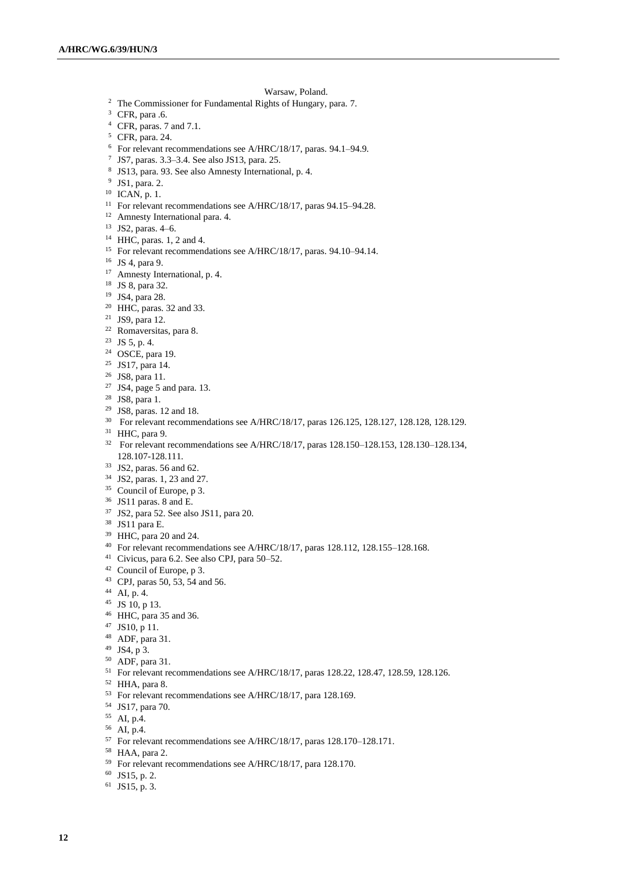#### Warsaw, Poland.

- <sup>2</sup> The Commissioner for Fundamental Rights of Hungary, para. 7.
- CFR, para .6.
- CFR, paras. 7 and 7.1.
- CFR, para. 24.
- For relevant recommendations see A/HRC/18/17, paras. 94.1–94.9.
- JS7, paras. 3.3–3.4. See also JS13, para. 25.
- JS13, para. 93. See also Amnesty International, p. 4.
- JS1, para. 2.
- ICAN, p. 1.
- <sup>11</sup> For relevant recommendations see A/HRC/18/17, paras 94.15–94.28.
- Amnesty International para. 4.
- JS2, paras. 4–6.
- HHC, paras. 1, 2 and 4.
- For relevant recommendations see A/HRC/18/17, paras. 94.10–94.14.
- JS 4, para 9.
- <sup>17</sup> Amnesty International, p. 4.
- JS 8, para 32.
- JS4, para 28.
- HHC, paras. 32 and 33.
- JS9, para 12.
- Romaversitas, para 8.
- JS 5, p. 4.
- OSCE, para 19.
- JS17, para 14.
- JS8, para 11.
- JS4, page 5 and para. 13.
- JS8, para 1.
- JS8, paras. 12 and 18.
- <sup>30</sup> For relevant recommendations see A/HRC/18/17, paras 126.125, 128.127, 128.128, 128.129.
- HHC, para 9.
- For relevant recommendations see A/HRC/18/17, paras 128.150–128.153, 128.130–128.134, 128.107-128.111.
- JS2, paras. 56 and 62.
- JS2, paras. 1, 23 and 27.
- <sup>35</sup> Council of Europe, p 3.
- JS11 paras. 8 and E.
- JS2, para 52. See also JS11, para 20.
- JS11 para E.
- HHC, para 20 and 24.
- <sup>40</sup> For relevant recommendations see A/HRC/18/17, paras 128.112, 128.155-128.168.
- Civicus, para 6.2. See also CPJ, para 50–52.
- Council of Europe, p 3.
- CPJ, paras 50, 53, 54 and 56.
- AI, p. 4.
- JS 10, p 13.
- HHC, para 35 and 36.
- JS10, p 11.
- ADF, para 31.
- JS4, p 3.
- ADF, para 31.
- For relevant recommendations see A/HRC/18/17, paras 128.22, 128.47, 128.59, 128.126.
- HHA, para 8.
- <sup>53</sup> For relevant recommendations see A/HRC/18/17, para 128.169.
- JS17, para 70.
- AI, p.4.
- AI, p.4.
- For relevant recommendations see A/HRC/18/17, paras 128.170–128.171.
- HAA, para 2.
- For relevant recommendations see A/HRC/18/17, para 128.170.
- JS15, p. 2.
- JS15, p. 3.